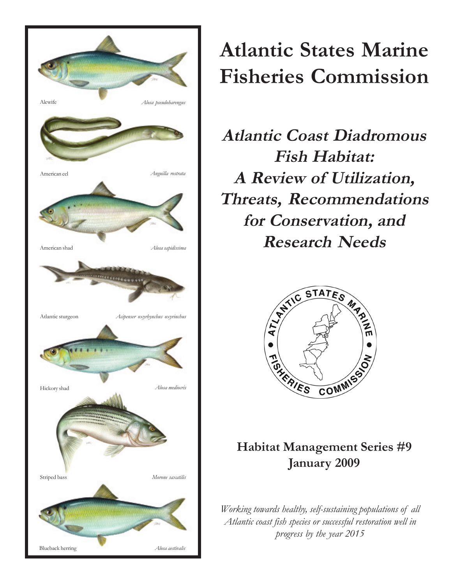

# **Atlantic States Marine Fisheries Commission**

**Atlantic Coast Diadromous Fish Habitat: A Review of Utilization, Threats, Recommendations for Conservation, and Research Needs**



## **Habitat Management Series #9 January 2009**

*Working towards healthy, self-sustaining populations of all Atlantic coast fish species or successful restoration well in progress by the year 2015*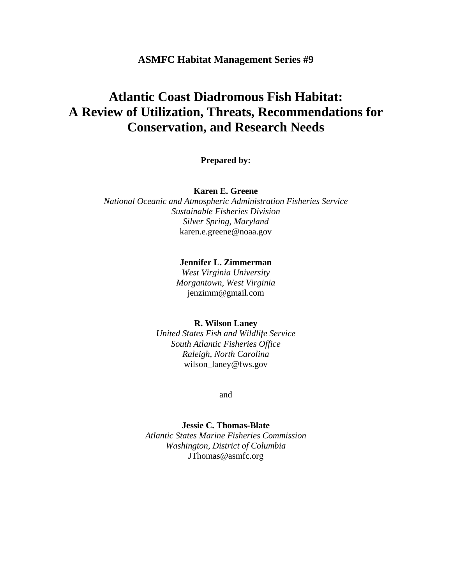## **ASMFC Habitat Management Series #9**

## **Atlantic Coast Diadromous Fish Habitat: A Review of Utilization, Threats, Recommendations for Conservation, and Research Needs**

**Prepared by:** 

**Karen E. Greene** 

*National Oceanic and Atmospheric Administration Fisheries Service Sustainable Fisheries Division Silver Spring, Maryland*  karen.e.greene@noaa.gov

**Jennifer L. Zimmerman** 

*West Virginia University Morgantown, West Virginia*  jenzimm@gmail.com

**R. Wilson Laney** 

*United States Fish and Wildlife Service South Atlantic Fisheries Office Raleigh, North Carolina*  wilson\_laney@fws.gov

and

**Jessie C. Thomas-Blate** 

*Atlantic States Marine Fisheries Commission Washington, District of Columbia*  JThomas@asmfc.org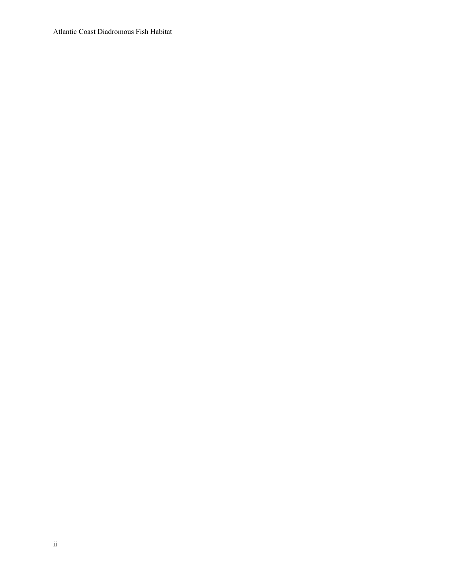Atlantic Coast Diadromous Fish Habitat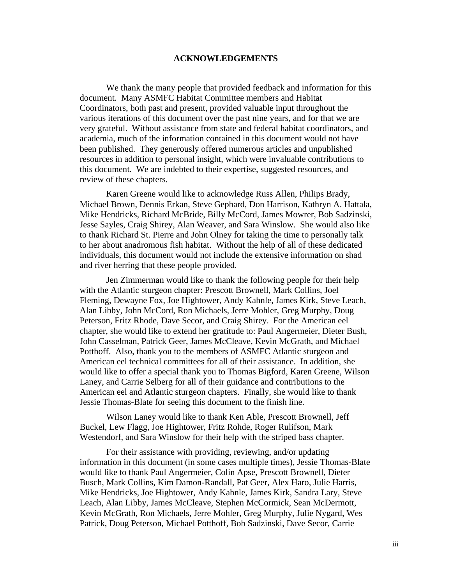#### **ACKNOWLEDGEMENTS**

We thank the many people that provided feedback and information for this document. Many ASMFC Habitat Committee members and Habitat Coordinators, both past and present, provided valuable input throughout the various iterations of this document over the past nine years, and for that we are very grateful. Without assistance from state and federal habitat coordinators, and academia, much of the information contained in this document would not have been published. They generously offered numerous articles and unpublished resources in addition to personal insight, which were invaluable contributions to this document. We are indebted to their expertise, suggested resources, and review of these chapters.

Karen Greene would like to acknowledge Russ Allen, Philips Brady, Michael Brown, Dennis Erkan, Steve Gephard, Don Harrison, Kathryn A. Hattala, Mike Hendricks, Richard McBride, Billy McCord, James Mowrer, Bob Sadzinski, Jesse Sayles, Craig Shirey, Alan Weaver, and Sara Winslow. She would also like to thank Richard St. Pierre and John Olney for taking the time to personally talk to her about anadromous fish habitat. Without the help of all of these dedicated individuals, this document would not include the extensive information on shad and river herring that these people provided.

Jen Zimmerman would like to thank the following people for their help with the Atlantic sturgeon chapter: Prescott Brownell, Mark Collins, Joel Fleming, Dewayne Fox, Joe Hightower, Andy Kahnle, James Kirk, Steve Leach, Alan Libby, John McCord, Ron Michaels, Jerre Mohler, Greg Murphy, Doug Peterson, Fritz Rhode, Dave Secor, and Craig Shirey. For the American eel chapter, she would like to extend her gratitude to: Paul Angermeier, Dieter Bush, John Casselman, Patrick Geer, James McCleave, Kevin McGrath, and Michael Potthoff. Also, thank you to the members of ASMFC Atlantic sturgeon and American eel technical committees for all of their assistance. In addition, she would like to offer a special thank you to Thomas Bigford, Karen Greene, Wilson Laney, and Carrie Selberg for all of their guidance and contributions to the American eel and Atlantic sturgeon chapters. Finally, she would like to thank Jessie Thomas-Blate for seeing this document to the finish line.

Wilson Laney would like to thank Ken Able, Prescott Brownell, Jeff Buckel, Lew Flagg, Joe Hightower, Fritz Rohde, Roger Rulifson, Mark Westendorf, and Sara Winslow for their help with the striped bass chapter.

For their assistance with providing, reviewing, and/or updating information in this document (in some cases multiple times), Jessie Thomas-Blate would like to thank Paul Angermeier, Colin Apse, Prescott Brownell, Dieter Busch, Mark Collins, Kim Damon-Randall, Pat Geer, Alex Haro, Julie Harris, Mike Hendricks, Joe Hightower, Andy Kahnle, James Kirk, Sandra Lary, Steve Leach, Alan Libby, James McCleave, Stephen McCormick, Sean McDermott, Kevin McGrath, Ron Michaels, Jerre Mohler, Greg Murphy, Julie Nygard, Wes Patrick, Doug Peterson, Michael Potthoff, Bob Sadzinski, Dave Secor, Carrie